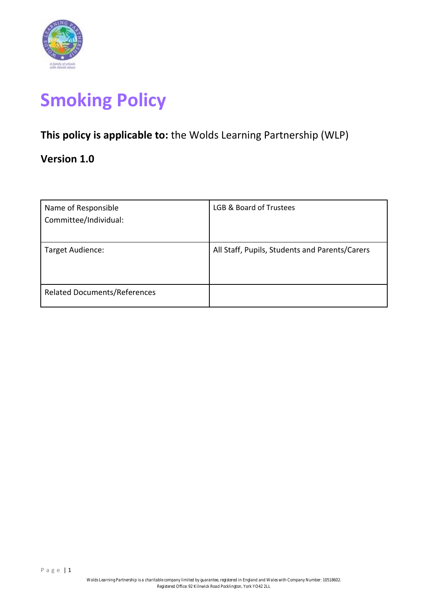

# **Smoking Policy**

# **This policy is applicable to:** the Wolds Learning Partnership (WLP)

# **Version 1.0**

| Name of Responsible<br>Committee/Individual: | LGB & Board of Trustees                        |
|----------------------------------------------|------------------------------------------------|
| Target Audience:                             | All Staff, Pupils, Students and Parents/Carers |
| <b>Related Documents/References</b>          |                                                |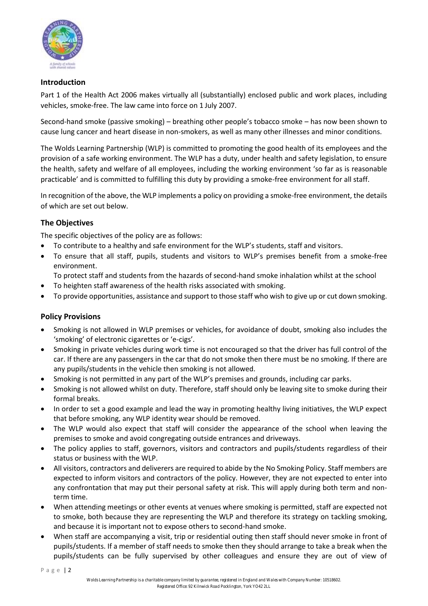

## **Introduction**

Part 1 of the Health Act 2006 makes virtually all (substantially) enclosed public and work places, including vehicles, smoke-free. The law came into force on 1 July 2007.

Second-hand smoke (passive smoking) – breathing other people's tobacco smoke – has now been shown to cause lung cancer and heart disease in non-smokers, as well as many other illnesses and minor conditions.

The Wolds Learning Partnership (WLP) is committed to promoting the good health of its employees and the provision of a safe working environment. The WLP has a duty, under health and safety legislation, to ensure the health, safety and welfare of all employees, including the working environment 'so far as is reasonable practicable' and is committed to fulfilling this duty by providing a smoke-free environment for all staff.

In recognition of the above, the WLP implements a policy on providing a smoke-free environment, the details of which are set out below.

# **The Objectives**

The specific objectives of the policy are as follows:

- To contribute to a healthy and safe environment for the WLP's students, staff and visitors.
- To ensure that all staff, pupils, students and visitors to WLP's premises benefit from a smoke-free environment.
	- To protect staff and students from the hazards of second-hand smoke inhalation whilst at the school
- To heighten staff awareness of the health risks associated with smoking.
- To provide opportunities, assistance and support to those staff who wish to give up or cut down smoking.

# **Policy Provisions**

- Smoking is not allowed in WLP premises or vehicles, for avoidance of doubt, smoking also includes the 'smoking' of electronic cigarettes or 'e-cigs'.
- Smoking in private vehicles during work time is not encouraged so that the driver has full control of the car. If there are any passengers in the car that do not smoke then there must be no smoking. If there are any pupils/students in the vehicle then smoking is not allowed.
- Smoking is not permitted in any part of the WLP's premises and grounds, including car parks.
- Smoking is not allowed whilst on duty. Therefore, staff should only be leaving site to smoke during their formal breaks.
- In order to set a good example and lead the way in promoting healthy living initiatives, the WLP expect that before smoking, any WLP identity wear should be removed.
- The WLP would also expect that staff will consider the appearance of the school when leaving the premises to smoke and avoid congregating outside entrances and driveways.
- The policy applies to staff, governors, visitors and contractors and pupils/students regardless of their status or business with the WLP.
- All visitors, contractors and deliverers are required to abide by the No Smoking Policy. Staff members are expected to inform visitors and contractors of the policy. However, they are not expected to enter into any confrontation that may put their personal safety at risk. This will apply during both term and nonterm time.
- When attending meetings or other events at venues where smoking is permitted, staff are expected not to smoke, both because they are representing the WLP and therefore its strategy on tackling smoking, and because it is important not to expose others to second-hand smoke.
- When staff are accompanying a visit, trip or residential outing then staff should never smoke in front of pupils/students. If a member of staff needs to smoke then they should arrange to take a break when the pupils/students can be fully supervised by other colleagues and ensure they are out of view of